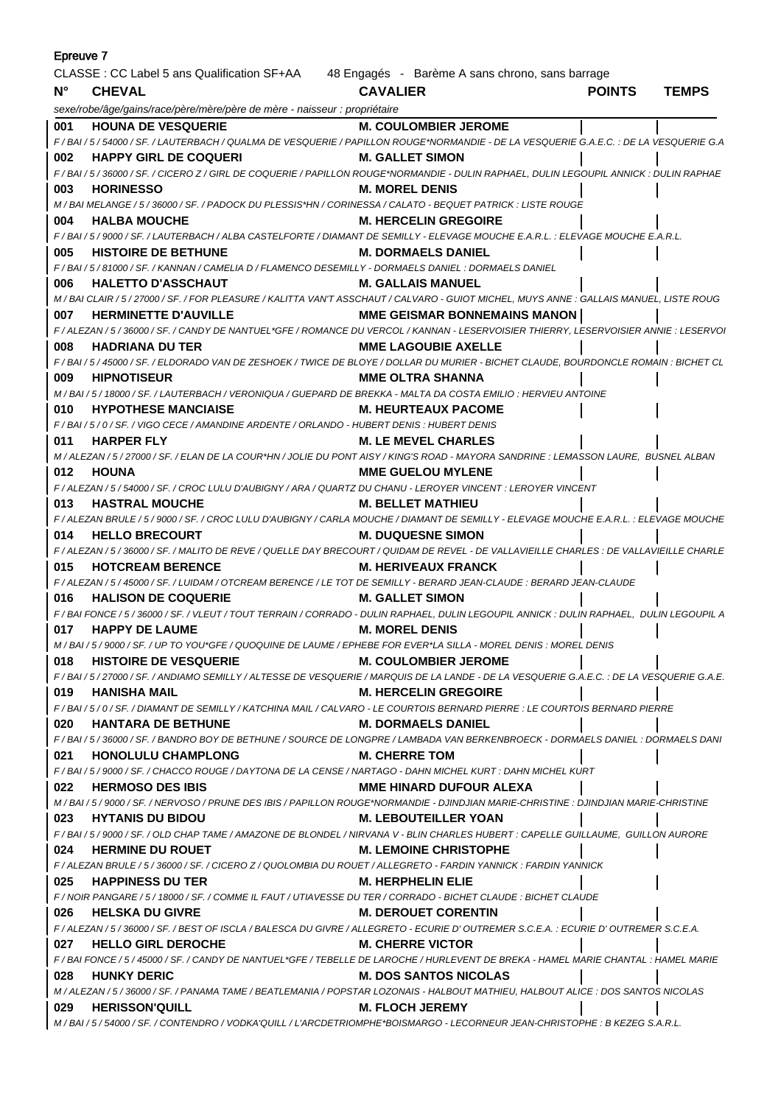| Epreuve 7                                                                                   |                                                                                                                                                                              |                                       |               |              |  |
|---------------------------------------------------------------------------------------------|------------------------------------------------------------------------------------------------------------------------------------------------------------------------------|---------------------------------------|---------------|--------------|--|
| CLASSE : CC Label 5 ans Qualification SF+AA 48 Engagés - Barème A sans chrono, sans barrage |                                                                                                                                                                              |                                       |               |              |  |
| $N^{\circ}$                                                                                 | <b>CHEVAL</b>                                                                                                                                                                | <b>CAVALIER</b>                       | <b>POINTS</b> | <b>TEMPS</b> |  |
|                                                                                             | sexe/robe/âge/gains/race/père/mère/père de mère - naisseur : propriétaire                                                                                                    |                                       |               |              |  |
| 001                                                                                         | <b>HOUNA DE VESQUERIE</b>                                                                                                                                                    | <b>M. COULOMBIER JEROME</b>           |               |              |  |
|                                                                                             | F / BAI / 5 / 54000 / SF. / LAUTERBACH / QUALMA DE VESQUERIE / PAPILLON ROUGE*NORMANDIE - DE LA VESQUERIE G.A.E.C. : DE LA VESQUERIE G.A                                     |                                       |               |              |  |
| 002                                                                                         | <b>HAPPY GIRL DE COQUERI</b>                                                                                                                                                 | <b>M. GALLET SIMON</b>                |               |              |  |
|                                                                                             | F / BAI / 5 / 36000 / SF. / CICERO Z / GIRL DE COQUERIE / PAPILLON ROUGE*NORMANDIE - DULIN RAPHAEL, DULIN LEGOUPIL ANNICK : DULIN RAPHAE                                     |                                       |               |              |  |
| 003                                                                                         | <b>HORINESSO</b>                                                                                                                                                             | <b>M. MOREL DENIS</b>                 |               |              |  |
|                                                                                             | M / BAI MELANGE / 5 / 36000 / SF. / PADOCK DU PLESSIS*HN / CORINESSA / CALATO - BEQUET PATRICK : LISTE ROUGE                                                                 |                                       |               |              |  |
| 004                                                                                         | <b>HALBA MOUCHE</b>                                                                                                                                                          | <b>M. HERCELIN GREGOIRE</b>           |               |              |  |
|                                                                                             | F / BAI / 5 / 9000 / SF. / LAUTERBACH / ALBA CASTELFORTE / DIAMANT DE SEMILLY - ELEVAGE MOUCHE E.A.R.L. : ELEVAGE MOUCHE E.A.R.L.                                            |                                       |               |              |  |
| 005                                                                                         | <b>HISTOIRE DE BETHUNE</b>                                                                                                                                                   | <b>M. DORMAELS DANIEL</b>             |               |              |  |
|                                                                                             | F / BAI / 5 / 81000 / SF. / KANNAN / CAMELIA D / FLAMENCO DESEMILLY - DORMAELS DANIEL : DORMAELS DANIEL                                                                      |                                       |               |              |  |
| 006                                                                                         | <b>HALETTO D'ASSCHAUT</b>                                                                                                                                                    | <b>M. GALLAIS MANUEL</b>              |               |              |  |
|                                                                                             | M / BAI CLAIR / 5 / 27000 / SF. / FOR PLEASURE / KALITTA VAN'T ASSCHAUT / CALVARO - GUIOT MICHEL, MUYS ANNE : GALLAIS MANUEL, LISTE ROUG                                     |                                       |               |              |  |
| 007                                                                                         | <b>HERMINETTE D'AUVILLE</b><br>F / ALEZAN / 5 / 36000 / SF. / CANDY DE NANTUEL*GFE / ROMANCE DU VERCOL / KANNAN - LESERVOISIER THIERRY, LESERVOISIER ANNIE : LESERVOI        | <b>MME GEISMAR BONNEMAINS MANON  </b> |               |              |  |
| 008                                                                                         | <b>HADRIANA DU TER</b>                                                                                                                                                       | <b>MME LAGOUBIE AXELLE</b>            |               |              |  |
|                                                                                             | F/BAI/5/45000/SF./ELDORADO VAN DE ZESHOEK/TWICE DE BLOYE/DOLLAR DU MURIER - BICHET CLAUDE, BOURDONCLE ROMAIN: BICHET CL                                                      |                                       |               |              |  |
| 009                                                                                         | <b>HIPNOTISEUR</b>                                                                                                                                                           | <b>MME OLTRA SHANNA</b>               |               |              |  |
|                                                                                             | M / BAI / 5 / 18000 / SF. / LAUTERBACH / VERONIQUA / GUEPARD DE BREKKA - MALTA DA COSTA EMILIO : HERVIEU ANTOINE                                                             |                                       |               |              |  |
| 010                                                                                         | <b>HYPOTHESE MANCIAISE</b>                                                                                                                                                   | <b>M. HEURTEAUX PACOME</b>            |               |              |  |
|                                                                                             | F/BAI/5/0/SF./VIGO CECE/AMANDINE ARDENTE/ORLANDO - HUBERT DENIS : HUBERT DENIS                                                                                               |                                       |               |              |  |
| 011                                                                                         | <b>HARPER FLY</b>                                                                                                                                                            | <b>M. LE MEVEL CHARLES</b>            |               |              |  |
|                                                                                             | M / ALEZAN / 5 / 27000 / SF. / ELAN DE LA COUR*HN / JOLIE DU PONT AISY / KING'S ROAD - MAYORA SANDRINE : LEMASSON LAURE, BUSNEL ALBAN                                        |                                       |               |              |  |
| 012                                                                                         | <b>HOUNA</b>                                                                                                                                                                 | <b>MME GUELOU MYLENE</b>              |               |              |  |
|                                                                                             | F / ALEZAN / 5 / 54000 / SF. / CROC LULU D'AUBIGNY / ARA / QUARTZ DU CHANU - LEROYER VINCENT : LEROYER VINCENT                                                               |                                       |               |              |  |
| 013                                                                                         | <b>HASTRAL MOUCHE</b>                                                                                                                                                        | <b>M. BELLET MATHIEU</b>              |               |              |  |
|                                                                                             | F / ALEZAN BRULE / 5 / 9000 / SF. / CROC LULU D'AUBIGNY / CARLA MOUCHE / DIAMANT DE SEMILLY - ELEVAGE MOUCHE E.A.R.L. : ELEVAGE MOUCHE                                       |                                       |               |              |  |
| 014                                                                                         | <b>HELLO BRECOURT</b>                                                                                                                                                        | <b>M. DUQUESNE SIMON</b>              |               |              |  |
|                                                                                             | F / ALEZAN / 5 / 36000 / SF. / MALITO DE REVE / QUELLE DAY BRECOURT / QUIDAM DE REVEL - DE VALLAVIEILLE CHARLES : DE VALLAVIEILLE CHARLE                                     |                                       |               |              |  |
| 015                                                                                         | <b>HOTCREAM BERENCE</b>                                                                                                                                                      | <b>M. HERIVEAUX FRANCK</b>            |               |              |  |
|                                                                                             | F / ALEZAN / 5 / 45000 / SF. / LUIDAM / OTCREAM BERENCE / LE TOT DE SEMILLY - BERARD JEAN-CLAUDE : BERARD JEAN-CLAUDE                                                        |                                       |               |              |  |
| 016                                                                                         | <b>HALISON DE COQUERIE</b>                                                                                                                                                   | <b>M. GALLET SIMON</b>                |               |              |  |
|                                                                                             | F / BAI FONCE / 5 / 36000 / SF. / VLEUT / TOUT TERRAIN / CORRADO - DULIN RAPHAEL, DULIN LEGOUPIL ANNICK : DULIN RAPHAEL, DULIN LEGOUPIL A                                    |                                       |               |              |  |
| 017                                                                                         | <b>HAPPY DE LAUME</b>                                                                                                                                                        | <b>M. MOREL DENIS</b>                 |               |              |  |
|                                                                                             | M / BAI / 5 / 9000 / SF. / UP TO YOU*GFE / QUOQUINE DE LAUME / EPHEBE FOR EVER*LA SILLA - MOREL DENIS : MOREL DENIS                                                          |                                       |               |              |  |
| 018                                                                                         | <b>HISTOIRE DE VESQUERIE</b><br>F / BAI / 5 / 27000 / SF. / ANDIAMO SEMILLY / ALTESSE DE VESQUERIE / MARQUIS DE LA LANDE - DE LA VESQUERIE G.A.E.C. : DE LA VESQUERIE G.A.E. | <b>M. COULOMBIER JEROME</b>           |               |              |  |
| 019                                                                                         | HANISHA MAIL                                                                                                                                                                 | <b>M. HERCELIN GREGOIRE</b>           |               |              |  |
|                                                                                             | F/BAI/5/0/SF./DIAMANT DE SEMILLY/KATCHINA MAIL/CALVARO - LE COURTOIS BERNARD PIERRE : LE COURTOIS BERNARD PIERRE                                                             |                                       |               |              |  |
| 020                                                                                         | <b>HANTARA DE BETHUNE</b>                                                                                                                                                    | <b>M. DORMAELS DANIEL</b>             |               |              |  |
|                                                                                             | F / BAI / 5 / 36000 / SF. / BANDRO BOY DE BETHUNE / SOURCE DE LONGPRE / LAMBADA VAN BERKENBROECK - DORMAELS DANIEL : DORMAELS DANI                                           |                                       |               |              |  |
| 021                                                                                         | <b>HONOLULU CHAMPLONG</b>                                                                                                                                                    | <b>M. CHERRE TOM</b>                  |               |              |  |
|                                                                                             | F / BAI / 5 / 9000 / SF. / CHACCO ROUGE / DAYTONA DE LA CENSE / NARTAGO - DAHN MICHEL KURT : DAHN MICHEL KURT                                                                |                                       |               |              |  |
| 022                                                                                         | <b>HERMOSO DES IBIS</b>                                                                                                                                                      | <b>MME HINARD DUFOUR ALEXA</b>        |               |              |  |
|                                                                                             | M / BAI / 5 / 9000 / SF. / NERVOSO / PRUNE DES IBIS / PAPILLON ROUGE*NORMANDIE - DJINDJIAN MARIE-CHRISTINE : DJINDJIAN MARIE-CHRISTINE                                       |                                       |               |              |  |
|                                                                                             | 023 HYTANIS DU BIDOU                                                                                                                                                         | <b>M. LEBOUTEILLER YOAN</b>           |               |              |  |
|                                                                                             | F / BAI / 5 / 9000 / SF. / OLD CHAP TAME / AMAZONE DE BLONDEL / NIRVANA V - BLIN CHARLES HUBERT : CAPELLE GUILLAUME, GUILLON AURORE                                          |                                       |               |              |  |
| 024                                                                                         | <b>HERMINE DU ROUET</b>                                                                                                                                                      | <b>M. LEMOINE CHRISTOPHE</b>          |               |              |  |
|                                                                                             | F / ALEZAN BRULE / 5 / 36000 / SF. / CICERO Z / QUOLOMBIA DU ROUET / ALLEGRETO - FARDIN YANNICK : FARDIN YANNICK                                                             |                                       |               |              |  |
|                                                                                             | 025 HAPPINESS DU TER                                                                                                                                                         | <b>M. HERPHELIN ELIE</b>              |               |              |  |
|                                                                                             | F / NOIR PANGARE / 5 / 18000 / SF. / COMME IL FAUT / UTIAVESSE DU TER / CORRADO - BICHET CLAUDE : BICHET CLAUDE                                                              |                                       |               |              |  |
| 026                                                                                         | <b>HELSKA DU GIVRE</b>                                                                                                                                                       | <b>M. DEROUET CORENTIN</b>            |               |              |  |
|                                                                                             | F / ALEZAN / 5 / 36000 / SF. / BEST OF ISCLA / BALESCA DU GIVRE / ALLEGRETO - ECURIE D'OUTREMER S.C.E.A. : ECURIE D'OUTREMER S.C.E.A.                                        |                                       |               |              |  |
|                                                                                             | 027 HELLO GIRL DEROCHE                                                                                                                                                       | <b>M. CHERRE VICTOR</b>               |               |              |  |
|                                                                                             | F / BAI FONCE / 5 / 45000 / SF. / CANDY DE NANTUEL*GFE / TEBELLE DE LAROCHE / HURLEVENT DE BREKA - HAMEL MARIE CHANTAL : HAMEL MARIE                                         |                                       |               |              |  |
| 028                                                                                         | <b>HUNKY DERIC</b>                                                                                                                                                           | <b>M. DOS SANTOS NICOLAS</b>          |               |              |  |
|                                                                                             | M / ALEZAN / 5 / 36000 / SF. / PANAMA TAME / BEATLEMANIA / POPSTAR LOZONAIS - HALBOUT MATHIEU, HALBOUT ALICE : DOS SANTOS NICOLAS                                            |                                       |               |              |  |
|                                                                                             | 029 HERISSON'QUILL                                                                                                                                                           | <b>M. FLOCH JEREMY</b>                |               |              |  |
|                                                                                             | M / BAI / 5 / 54000 / SF. / CONTENDRO / VODKA'QUILL / L'ARCDETRIOMPHE*BOISMARGO - LECORNEUR JEAN-CHRISTOPHE : B KEZEG S.A.R.L.                                               |                                       |               |              |  |